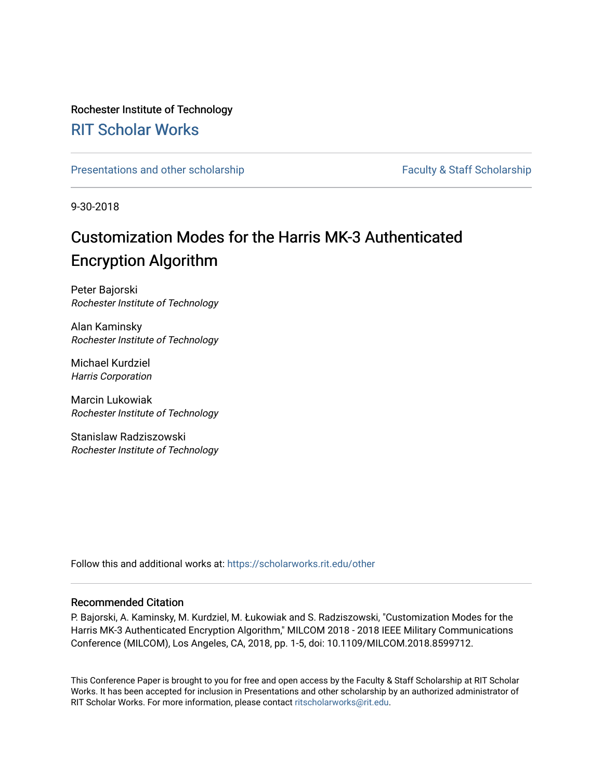### Rochester Institute of Technology

### [RIT Scholar Works](https://scholarworks.rit.edu/)

[Presentations and other scholarship](https://scholarworks.rit.edu/other) Faculty & Staff Scholarship

9-30-2018

## Customization Modes for the Harris MK-3 Authenticated Encryption Algorithm

Peter Bajorski Rochester Institute of Technology

Alan Kaminsky Rochester Institute of Technology

Michael Kurdziel Harris Corporation

Marcin Lukowiak Rochester Institute of Technology

Stanislaw Radziszowski Rochester Institute of Technology

Follow this and additional works at: [https://scholarworks.rit.edu/other](https://scholarworks.rit.edu/other?utm_source=scholarworks.rit.edu%2Fother%2F955&utm_medium=PDF&utm_campaign=PDFCoverPages) 

### Recommended Citation

P. Bajorski, A. Kaminsky, M. Kurdziel, M. Łukowiak and S. Radziszowski, "Customization Modes for the Harris MK-3 Authenticated Encryption Algorithm," MILCOM 2018 - 2018 IEEE Military Communications Conference (MILCOM), Los Angeles, CA, 2018, pp. 1-5, doi: 10.1109/MILCOM.2018.8599712.

This Conference Paper is brought to you for free and open access by the Faculty & Staff Scholarship at RIT Scholar Works. It has been accepted for inclusion in Presentations and other scholarship by an authorized administrator of RIT Scholar Works. For more information, please contact [ritscholarworks@rit.edu.](mailto:ritscholarworks@rit.edu)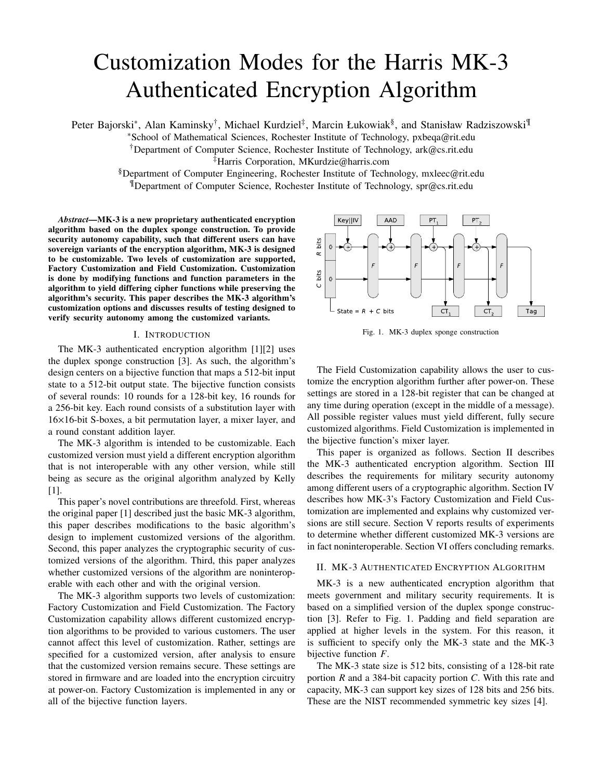# Customization Modes for the Harris MK-3 Authenticated Encryption Algorithm

Peter Bajorski\*, Alan Kaminsky<sup>†</sup>, Michael Kurdziel<sup>‡</sup>, Marcin Łukowiak<sup>§</sup>, and Stanisław Radziszowski<sup>¶</sup>

<sup>∗</sup>School of Mathematical Sciences, Rochester Institute of Technology, pxbeqa@rit.edu

†Department of Computer Science, Rochester Institute of Technology, ark@cs.rit.edu

‡Harris Corporation, MKurdzie@harris.com

§Department of Computer Engineering, Rochester Institute of Technology, mxleec@rit.edu ¶Department of Computer Science, Rochester Institute of Technology, spr@cs.rit.edu

*Abstract***—MK-3 is a new proprietary authenticated encryption algorithm based on the duplex sponge construction. To provide security autonomy capability, such that different users can have sovereign variants of the encryption algorithm, MK-3 is designed to be customizable. Two levels of customization are supported, Factory Customization and Field Customization. Customization is done by modifying functions and function parameters in the algorithm to yield differing cipher functions while preserving the algorithm's security. This paper describes the MK-3 algorithm's customization options and discusses results of testing designed to verify security autonomy among the customized variants.**

#### I. INTRODUCTION

The MK-3 authenticated encryption algorithm [1][2] uses the duplex sponge construction [3]. As such, the algorithm's design centers on a bijective function that maps a 512-bit input state to a 512-bit output state. The bijective function consists of several rounds: 10 rounds for a 128-bit key, 16 rounds for a 256-bit key. Each round consists of a substitution layer with 16×16-bit S-boxes, a bit permutation layer, a mixer layer, and a round constant addition layer.

The MK-3 algorithm is intended to be customizable. Each customized version must yield a different encryption algorithm that is not interoperable with any other version, while still being as secure as the original algorithm analyzed by Kelly [1].

This paper's novel contributions are threefold. First, whereas the original paper [1] described just the basic MK-3 algorithm, this paper describes modifications to the basic algorithm's design to implement customized versions of the algorithm. Second, this paper analyzes the cryptographic security of customized versions of the algorithm. Third, this paper analyzes whether customized versions of the algorithm are noninteroperable with each other and with the original version.

The MK-3 algorithm supports two levels of customization: Factory Customization and Field Customization. The Factory Customization capability allows different customized encryption algorithms to be provided to various customers. The user cannot affect this level of customization. Rather, settings are specified for a customized version, after analysis to ensure that the customized version remains secure. These settings are stored in firmware and are loaded into the encryption circuitry at power-on. Factory Customization is implemented in any or all of the bijective function layers.

Key||IV AAD PT PT. R bits bits Ō State =  $R$  $+ C$  bits Tag CT CT

Fig. 1. MK-3 duplex sponge construction

The Field Customization capability allows the user to customize the encryption algorithm further after power-on. These settings are stored in a 128-bit register that can be changed at any time during operation (except in the middle of a message). All possible register values must yield different, fully secure customized algorithms. Field Customization is implemented in the bijective function's mixer layer.

This paper is organized as follows. Section II describes the MK-3 authenticated encryption algorithm. Section III describes the requirements for military security autonomy among different users of a cryptographic algorithm. Section IV describes how MK-3's Factory Customization and Field Customization are implemented and explains why customized versions are still secure. Section V reports results of experiments to determine whether different customized MK-3 versions are in fact noninteroperable. Section VI offers concluding remarks.

#### II. MK-3 AUTHENTICATED ENCRYPTION ALGORITHM

MK-3 is a new authenticated encryption algorithm that meets government and military security requirements. It is based on a simplified version of the duplex sponge construction [3]. Refer to Fig. 1. Padding and field separation are applied at higher levels in the system. For this reason, it is sufficient to specify only the MK-3 state and the MK-3 bijective function *F*.

The MK-3 state size is 512 bits, consisting of a 128-bit rate portion *R* and a 384-bit capacity portion *C*. With this rate and capacity, MK-3 can support key sizes of 128 bits and 256 bits. These are the NIST recommended symmetric key sizes [4].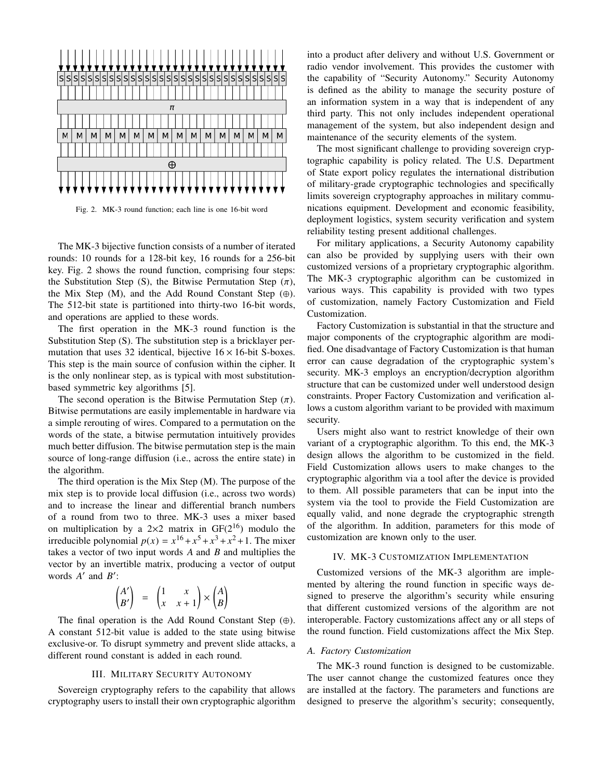

Fig. 2. MK-3 round function; each line is one 16-bit word

The MK-3 bijective function consists of a number of iterated rounds: 10 rounds for a 128-bit key, 16 rounds for a 256-bit key. Fig. 2 shows the round function, comprising four steps: the Substitution Step (S), the Bitwise Permutation Step  $(\pi)$ , the Mix Step (M), and the Add Round Constant Step  $(\oplus)$ . The 512-bit state is partitioned into thirty-two 16-bit words, and operations are applied to these words.

The first operation in the MK-3 round function is the Substitution Step (S). The substitution step is a bricklayer permutation that uses 32 identical, bijective  $16 \times 16$ -bit S-boxes. This step is the main source of confusion within the cipher. It is the only nonlinear step, as is typical with most substitutionbased symmetric key algorithms [5].

The second operation is the Bitwise Permutation Step  $(\pi)$ . Bitwise permutations are easily implementable in hardware via a simple rerouting of wires. Compared to a permutation on the words of the state, a bitwise permutation intuitively provides much better diffusion. The bitwise permutation step is the main source of long-range diffusion (i.e., across the entire state) in the algorithm.

The third operation is the Mix Step (M). The purpose of the mix step is to provide local diffusion (i.e., across two words) and to increase the linear and differential branch numbers of a round from two to three. MK-3 uses a mixer based on multiplication by a  $2\times 2$  matrix in GF( $2^{16}$ ) modulo the irreducible polynomial  $p(x) = x^{16} + x^5 + x^3 + x^2 + 1$ . The mixer takes a vector of two input words *A* and *B* and multiplies the vector by an invertible matrix, producing a vector of output words *A'* and *B'*:

$$
\begin{pmatrix} A' \\ B' \end{pmatrix} = \begin{pmatrix} 1 & x \\ x & x+1 \end{pmatrix} \times \begin{pmatrix} A \\ B \end{pmatrix}
$$

The final operation is the Add Round Constant Step  $(\oplus)$ . A constant 512-bit value is added to the state using bitwise exclusive-or. To disrupt symmetry and prevent slide attacks, a different round constant is added in each round.

#### III. MILITARY SECURITY AUTONOMY

Sovereign cryptography refers to the capability that allows cryptography users to install their own cryptographic algorithm into a product after delivery and without U.S. Government or radio vendor involvement. This provides the customer with the capability of "Security Autonomy." Security Autonomy is defined as the ability to manage the security posture of an information system in a way that is independent of any third party. This not only includes independent operational management of the system, but also independent design and maintenance of the security elements of the system.

The most significant challenge to providing sovereign cryptographic capability is policy related. The U.S. Department of State export policy regulates the international distribution of military-grade cryptographic technologies and specifically limits sovereign cryptography approaches in military communications equipment. Development and economic feasibility, deployment logistics, system security verification and system reliability testing present additional challenges.

For military applications, a Security Autonomy capability can also be provided by supplying users with their own customized versions of a proprietary cryptographic algorithm. The MK-3 cryptographic algorithm can be customized in various ways. This capability is provided with two types of customization, namely Factory Customization and Field Customization.

Factory Customization is substantial in that the structure and major components of the cryptographic algorithm are modified. One disadvantage of Factory Customization is that human error can cause degradation of the cryptographic system's security. MK-3 employs an encryption/decryption algorithm structure that can be customized under well understood design constraints. Proper Factory Customization and verification allows a custom algorithm variant to be provided with maximum security.

Users might also want to restrict knowledge of their own variant of a cryptographic algorithm. To this end, the MK-3 design allows the algorithm to be customized in the field. Field Customization allows users to make changes to the cryptographic algorithm via a tool after the device is provided to them. All possible parameters that can be input into the system via the tool to provide the Field Customization are equally valid, and none degrade the cryptographic strength of the algorithm. In addition, parameters for this mode of customization are known only to the user.

#### IV. MK-3 CUSTOMIZATION IMPLEMENTATION

Customized versions of the MK-3 algorithm are implemented by altering the round function in specific ways designed to preserve the algorithm's security while ensuring that different customized versions of the algorithm are not interoperable. Factory customizations affect any or all steps of the round function. Field customizations affect the Mix Step.

#### *A. Factory Customization*

The MK-3 round function is designed to be customizable. The user cannot change the customized features once they are installed at the factory. The parameters and functions are designed to preserve the algorithm's security; consequently,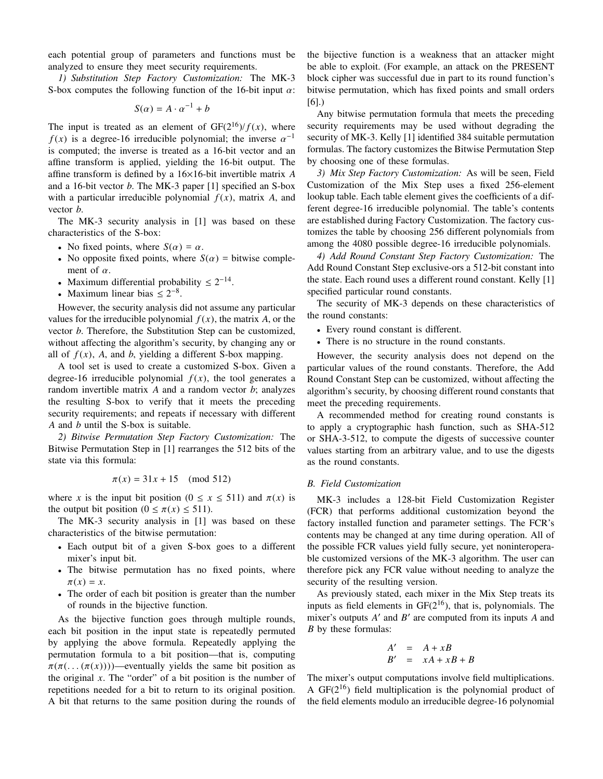each potential group of parameters and functions must be analyzed to ensure they meet security requirements.

*1) Substitution Step Factory Customization:* The MK-3 S-box computes the following function of the 16-bit input  $\alpha$ :

$$
S(\alpha)=A\cdot \alpha^{-1}+b
$$

The input is treated as an element of  $GF(2^{16})/f(x)$ , where  $f(x)$  is a degree-16 irreducible polynomial; the inverse  $\alpha^{-1}$ is computed; the inverse is treated as a 16-bit vector and an affine transform is applied, yielding the 16-bit output. The affine transform is defined by a 16×16-bit invertible matrix *A* and a 16-bit vector *b*. The MK-3 paper [1] specified an S-box with a particular irreducible polynomial  $f(x)$ , matrix A, and vector *b*.

The MK-3 security analysis in [1] was based on these characteristics of the S-box:

- No fixed points, where  $S(\alpha) = \alpha$ .
- No opposite fixed points, where  $S(\alpha)$  = bitwise complement of  $\alpha$ .
- Maximum differential probability  $\leq 2^{-14}$ .
- Maximum linear bias  $\leq 2^{-8}$ .

However, the security analysis did not assume any particular values for the irreducible polynomial  $f(x)$ , the matrix *A*, or the vector *b*. Therefore, the Substitution Step can be customized, without affecting the algorithm's security, by changing any or all of  $f(x)$ , *A*, and *b*, yielding a different S-box mapping.

A tool set is used to create a customized S-box. Given a degree-16 irreducible polynomial  $f(x)$ , the tool generates a random invertible matrix *A* and a random vector *b*; analyzes the resulting S-box to verify that it meets the preceding security requirements; and repeats if necessary with different *A* and *b* until the S-box is suitable.

*2) Bitwise Permutation Step Factory Customization:* The Bitwise Permutation Step in [1] rearranges the 512 bits of the state via this formula:

$$
\pi(x) = 31x + 15 \pmod{512}
$$

where *x* is the input bit position ( $0 \le x \le 511$ ) and  $\pi(x)$  is the output bit position  $(0 \le \pi(x) \le 511)$ .

The MK-3 security analysis in [1] was based on these characteristics of the bitwise permutation:

- Each output bit of a given S-box goes to a different mixer's input bit.
- The bitwise permutation has no fixed points, where  $\pi(x) = x$ .
- The order of each bit position is greater than the number of rounds in the bijective function.

As the bijective function goes through multiple rounds, each bit position in the input state is repeatedly permuted by applying the above formula. Repeatedly applying the permutation formula to a bit position—that is, computing  $\pi(\pi(\ldots(\pi(x))))$ —eventually yields the same bit position as the original *x*. The "order" of a bit position is the number of repetitions needed for a bit to return to its original position. A bit that returns to the same position during the rounds of the bijective function is a weakness that an attacker might be able to exploit. (For example, an attack on the PRESENT block cipher was successful due in part to its round function's bitwise permutation, which has fixed points and small orders [6].)

Any bitwise permutation formula that meets the preceding security requirements may be used without degrading the security of MK-3. Kelly [1] identified 384 suitable permutation formulas. The factory customizes the Bitwise Permutation Step by choosing one of these formulas.

*3) Mix Step Factory Customization:* As will be seen, Field Customization of the Mix Step uses a fixed 256-element lookup table. Each table element gives the coefficients of a different degree-16 irreducible polynomial. The table's contents are established during Factory Customization. The factory customizes the table by choosing 256 different polynomials from among the 4080 possible degree-16 irreducible polynomials.

*4) Add Round Constant Step Factory Customization:* The Add Round Constant Step exclusive-ors a 512-bit constant into the state. Each round uses a different round constant. Kelly [1] specified particular round constants.

The security of MK-3 depends on these characteristics of the round constants:

- Every round constant is different.
- There is no structure in the round constants.

However, the security analysis does not depend on the particular values of the round constants. Therefore, the Add Round Constant Step can be customized, without affecting the algorithm's security, by choosing different round constants that meet the preceding requirements.

A recommended method for creating round constants is to apply a cryptographic hash function, such as SHA-512 or SHA-3-512, to compute the digests of successive counter values starting from an arbitrary value, and to use the digests as the round constants.

#### *B. Field Customization*

MK-3 includes a 128-bit Field Customization Register (FCR) that performs additional customization beyond the factory installed function and parameter settings. The FCR's contents may be changed at any time during operation. All of the possible FCR values yield fully secure, yet noninteroperable customized versions of the MK-3 algorithm. The user can therefore pick any FCR value without needing to analyze the security of the resulting version.

As previously stated, each mixer in the Mix Step treats its inputs as field elements in  $GF(2^{16})$ , that is, polynomials. The mixer's outputs *A* ′ and *B* ′ are computed from its inputs *A* and *B* by these formulas:

$$
A' = A + xB
$$
  

$$
B' = xA + xB + B
$$

The mixer's output computations involve field multiplications. A  $GF(2^{16})$  field multiplication is the polynomial product of the field elements modulo an irreducible degree-16 polynomial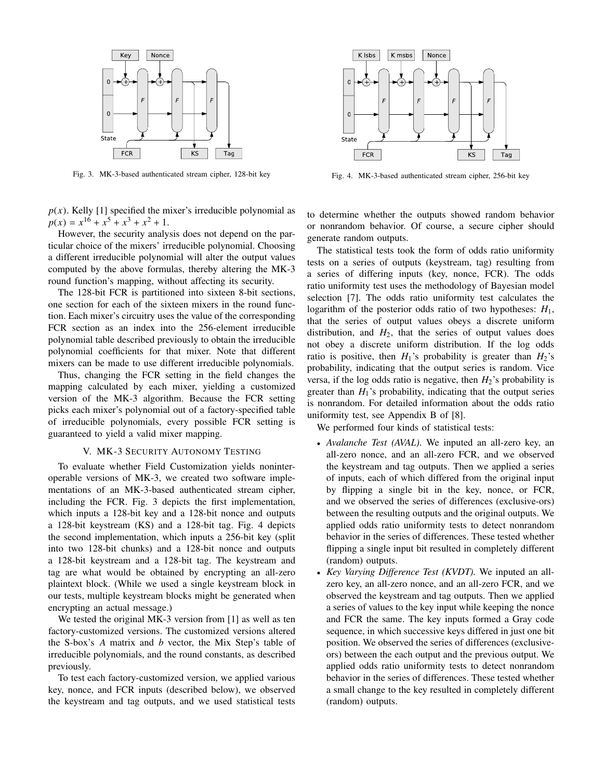

Fig. 3. MK-3-based authenticated stream cipher, 128-bit key

 $p(x)$ . Kelly [1] specified the mixer's irreducible polynomial as  $p(x) = x^{16} + x^5 + x^3 + x^2 + 1.$ 

However, the security analysis does not depend on the particular choice of the mixers' irreducible polynomial. Choosing a different irreducible polynomial will alter the output values computed by the above formulas, thereby altering the MK-3 round function's mapping, without affecting its security.

The 128-bit FCR is partitioned into sixteen 8-bit sections, one section for each of the sixteen mixers in the round function. Each mixer's circuitry uses the value of the corresponding FCR section as an index into the 256-element irreducible polynomial table described previously to obtain the irreducible polynomial coefficients for that mixer. Note that different mixers can be made to use different irreducible polynomials.

Thus, changing the FCR setting in the field changes the mapping calculated by each mixer, yielding a customized version of the MK-3 algorithm. Because the FCR setting picks each mixer's polynomial out of a factory-specified table of irreducible polynomials, every possible FCR setting is guaranteed to yield a valid mixer mapping.

#### V. MK-3 SECURITY AUTONOMY TESTING

To evaluate whether Field Customization yields noninteroperable versions of MK-3, we created two software implementations of an MK-3-based authenticated stream cipher, including the FCR. Fig. 3 depicts the first implementation, which inputs a 128-bit key and a 128-bit nonce and outputs a 128-bit keystream (KS) and a 128-bit tag. Fig. 4 depicts the second implementation, which inputs a 256-bit key (split into two 128-bit chunks) and a 128-bit nonce and outputs a 128-bit keystream and a 128-bit tag. The keystream and tag are what would be obtained by encrypting an all-zero plaintext block. (While we used a single keystream block in our tests, multiple keystream blocks might be generated when encrypting an actual message.)

We tested the original MK-3 version from [1] as well as ten factory-customized versions. The customized versions altered the S-box's *A* matrix and *b* vector, the Mix Step's table of irreducible polynomials, and the round constants, as described previously.

To test each factory-customized version, we applied various key, nonce, and FCR inputs (described below), we observed the keystream and tag outputs, and we used statistical tests



Fig. 4. MK-3-based authenticated stream cipher, 256-bit key

to determine whether the outputs showed random behavior or nonrandom behavior. Of course, a secure cipher should generate random outputs.

The statistical tests took the form of odds ratio uniformity tests on a series of outputs (keystream, tag) resulting from a series of differing inputs (key, nonce, FCR). The odds ratio uniformity test uses the methodology of Bayesian model selection [7]. The odds ratio uniformity test calculates the logarithm of the posterior odds ratio of two hypotheses: *H*1, that the series of output values obeys a discrete uniform distribution, and  $H_2$ , that the series of output values does not obey a discrete uniform distribution. If the log odds ratio is positive, then  $H_1$ 's probability is greater than  $H_2$ 's probability, indicating that the output series is random. Vice versa, if the log odds ratio is negative, then  $H_2$ 's probability is greater than  $H_1$ 's probability, indicating that the output series is nonrandom. For detailed information about the odds ratio uniformity test, see Appendix B of [8].

We performed four kinds of statistical tests:

- *Avalanche Test (AVAL).* We inputed an all-zero key, an all-zero nonce, and an all-zero FCR, and we observed the keystream and tag outputs. Then we applied a series of inputs, each of which differed from the original input by flipping a single bit in the key, nonce, or FCR, and we observed the series of differences (exclusive-ors) between the resulting outputs and the original outputs. We applied odds ratio uniformity tests to detect nonrandom behavior in the series of differences. These tested whether flipping a single input bit resulted in completely different (random) outputs.
- *Key Varying Difference Test (KVDT).* We inputed an allzero key, an all-zero nonce, and an all-zero FCR, and we observed the keystream and tag outputs. Then we applied a series of values to the key input while keeping the nonce and FCR the same. The key inputs formed a Gray code sequence, in which successive keys differed in just one bit position. We observed the series of differences (exclusiveors) between the each output and the previous output. We applied odds ratio uniformity tests to detect nonrandom behavior in the series of differences. These tested whether a small change to the key resulted in completely different (random) outputs.